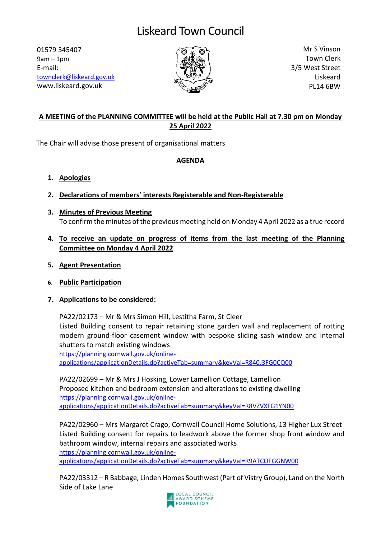# Liskeard Town Council

01579 345407 9am – 1pm E-mail: [townclerk@liskeard.gov.uk](mailto:townclerk@liskeard.gov.uk) www.liskeard.gov.uk



Mr S Vinson Town Clerk 3/5 West Street Liskeard PL14 6BW

### **A MEETING of the PLANNING COMMITTEE will be held at the Public Hall at 7.30 pm on Monday 25 April 2022**

The Chair will advise those present of organisational matters

#### **AGENDA**

- **1. Apologies**
- **2. Declarations of members' interests Registerable and Non-Registerable**
- **3. Minutes of Previous Meeting** To confirm the minutes of the previous meeting held on Monday 4 April 2022 as a true record
- **4. To receive an update on progress of items from the last meeting of the Planning Committee on Monday 4 April 2022**
- **5. Agent Presentation**
- **6. Public Participation**
- **7. Applications to be considered:**

PA22/02173 – Mr & Mrs Simon Hill, Lestitha Farm, St Cleer Listed Building consent to repair retaining stone garden wall and replacement of rotting modern ground-floor casement window with bespoke sliding sash window and internal shutters to match existing windows [https://planning.cornwall.gov.uk/online-](https://planning.cornwall.gov.uk/online-applications/applicationDetails.do?activeTab=summary&keyVal=R840J3FG0CQ00)

[applications/applicationDetails.do?activeTab=summary&keyVal=R840J3FG0CQ00](https://planning.cornwall.gov.uk/online-applications/applicationDetails.do?activeTab=summary&keyVal=R840J3FG0CQ00)

PA22/02699 – Mr & Mrs J Hosking, Lower Lamellion Cottage, Lamellion Proposed kitchen and bedroom extension and alterations to existing dwelling [https://planning.cornwall.gov.uk/online](https://planning.cornwall.gov.uk/online-applications/applicationDetails.do?activeTab=summary&keyVal=R8VZVXFG1YN00)[applications/applicationDetails.do?activeTab=summary&keyVal=R8VZVXFG1YN00](https://planning.cornwall.gov.uk/online-applications/applicationDetails.do?activeTab=summary&keyVal=R8VZVXFG1YN00)

PA22/02960 – Mrs Margaret Crago, Cornwall Council Home Solutions, 13 Higher Lux Street Listed Building consent for repairs to leadwork above the former shop front window and bathroom window, internal repairs and associated works [https://planning.cornwall.gov.uk/online](https://planning.cornwall.gov.uk/online-applications/applicationDetails.do?activeTab=summary&keyVal=R9ATCOFGGNW00)[applications/applicationDetails.do?activeTab=summary&keyVal=R9ATCOFGGNW00](https://planning.cornwall.gov.uk/online-applications/applicationDetails.do?activeTab=summary&keyVal=R9ATCOFGGNW00)

PA22/03312 – R Babbage, Linden Homes Southwest (Part of Vistry Group), Land on the North Side of Lake Lane